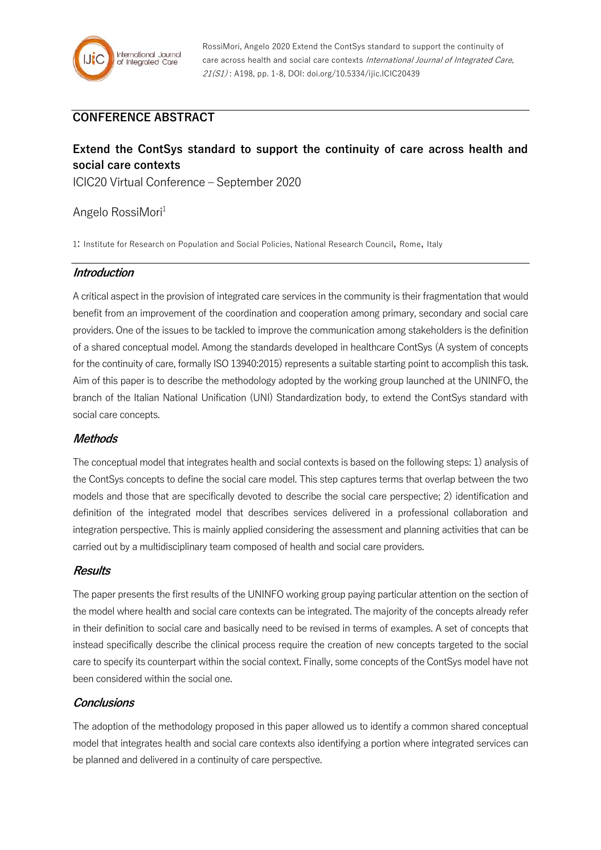

RossiMori, Angelo 2020 Extend the ContSys standard to support the continuity of care across health and social care contexts International Journal of Integrated Care, 21(S1) : A198, pp. 1-8, DOI: doi.org/10.5334/ijic.ICIC20439

# **CONFERENCE ABSTRACT**

# **Extend the ContSys standard to support the continuity of care across health and social care contexts**

ICIC20 Virtual Conference – September 2020

### Angelo RossiMori<sup>1</sup>

1: Institute for Research on Population and Social Policies, National Research Council, Rome, Italy

### **Introduction**

A critical aspect in the provision of integrated care services in the community is their fragmentation that would benefit from an improvement of the coordination and cooperation among primary, secondary and social care providers. One of the issues to be tackled to improve the communication among stakeholders is the definition of a shared conceptual model. Among the standards developed in healthcare ContSys (A system of concepts for the continuity of care, formally ISO 13940:2015) represents a suitable starting point to accomplish this task. Aim of this paper is to describe the methodology adopted by the working group launched at the UNINFO, the branch of the Italian National Unification (UNI) Standardization body, to extend the ContSys standard with social care concepts.

#### **Methods**

The conceptual model that integrates health and social contexts is based on the following steps: 1) analysis of the ContSys concepts to define the social care model. This step captures terms that overlap between the two models and those that are specifically devoted to describe the social care perspective; 2) identification and definition of the integrated model that describes services delivered in a professional collaboration and integration perspective. This is mainly applied considering the assessment and planning activities that can be carried out by a multidisciplinary team composed of health and social care providers.

#### **Results**

The paper presents the first results of the UNINFO working group paying particular attention on the section of the model where health and social care contexts can be integrated. The majority of the concepts already refer in their definition to social care and basically need to be revised in terms of examples. A set of concepts that instead specifically describe the clinical process require the creation of new concepts targeted to the social care to specify its counterpart within the social context. Finally, some concepts of the ContSys model have not been considered within the social one.

### **Conclusions**

The adoption of the methodology proposed in this paper allowed us to identify a common shared conceptual model that integrates health and social care contexts also identifying a portion where integrated services can be planned and delivered in a continuity of care perspective.